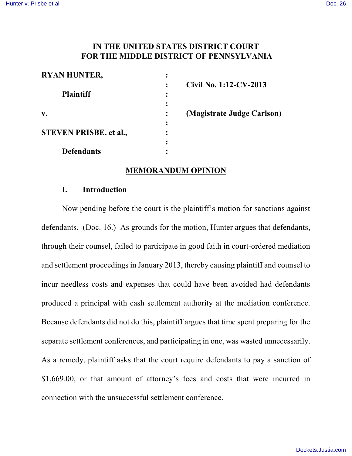# **IN THE UNITED STATES DISTRICT COURT FOR THE MIDDLE DISTRICT OF PENNSYLVANIA**

| <b>RYAN HUNTER,</b>           |  |
|-------------------------------|--|
|                               |  |
| <b>Plaintiff</b>              |  |
|                               |  |
| v.                            |  |
| <b>STEVEN PRISBE, et al.,</b> |  |
|                               |  |
| <b>Defendants</b>             |  |

**: Civil No. 1:12-CV-2013**

**v. : (Magistrate Judge Carlson)**

## **MEMORANDUM OPINION**

### **I. Introduction**

Now pending before the court is the plaintiff's motion for sanctions against defendants. (Doc. 16.) As grounds for the motion, Hunter argues that defendants, through their counsel, failed to participate in good faith in court-ordered mediation and settlement proceedings in January 2013, thereby causing plaintiff and counsel to incur needless costs and expenses that could have been avoided had defendants produced a principal with cash settlement authority at the mediation conference. Because defendants did not do this, plaintiff argues that time spent preparing for the separate settlement conferences, and participating in one, was wasted unnecessarily. As a remedy, plaintiff asks that the court require defendants to pay a sanction of \$1,669.00, or that amount of attorney's fees and costs that were incurred in connection with the unsuccessful settlement conference.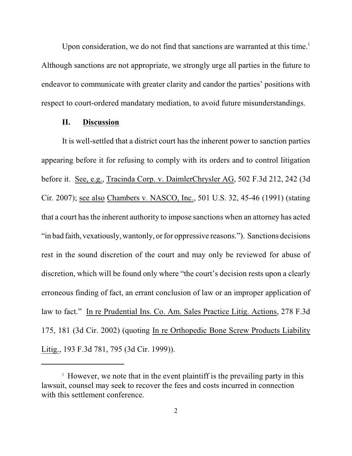Upon consideration, we do not find that sanctions are warranted at this time.<sup>1</sup> Although sanctions are not appropriate, we strongly urge all parties in the future to endeavor to communicate with greater clarity and candor the parties' positions with respect to court-ordered mandatary mediation, to avoid future misunderstandings.

#### **II. Discussion**

It is well-settled that a district court has the inherent power to sanction parties appearing before it for refusing to comply with its orders and to control litigation before it. See, e.g., Tracinda Corp. v. DaimlerChrysler AG, 502 F.3d 212, 242 (3d Cir. 2007); see also Chambers v. NASCO, Inc., 501 U.S. 32, 45-46 (1991) (stating that a court has the inherent authority to impose sanctions when an attorney has acted "in bad faith, vexatiously, wantonly, or for oppressive reasons."). Sanctions decisions rest in the sound discretion of the court and may only be reviewed for abuse of discretion, which will be found only where "the court's decision rests upon a clearly erroneous finding of fact, an errant conclusion of law or an improper application of law to fact." In re Prudential Ins. Co. Am. Sales Practice Litig. Actions, 278 F.3d 175, 181 (3d Cir. 2002) (quoting In re Orthopedic Bone Screw Products Liability Litig., 193 F.3d 781, 795 (3d Cir. 1999)).

 $\frac{1}{1}$  However, we note that in the event plaintiff is the prevailing party in this lawsuit, counsel may seek to recover the fees and costs incurred in connection with this settlement conference.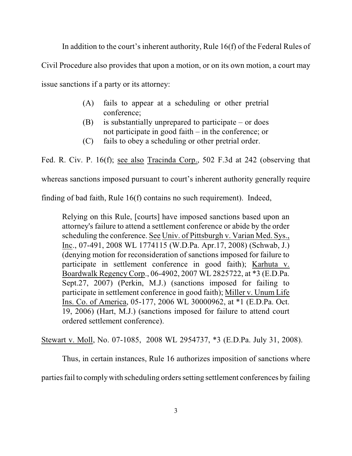In addition to the court's inherent authority, Rule 16(f) of the Federal Rules of

Civil Procedure also provides that upon a motion, or on its own motion, a court may

issue sanctions if a party or its attorney:

- (A) fails to appear at a scheduling or other pretrial conference;
- (B) is substantially unprepared to participate or does not participate in good faith – in the conference; or
- (C) fails to obey a scheduling or other pretrial order.

Fed. R. Civ. P. 16(f); see also Tracinda Corp., 502 F.3d at 242 (observing that

whereas sanctions imposed pursuant to court's inherent authority generally require

finding of bad faith, Rule 16(f) contains no such requirement). Indeed,

Relying on this Rule, [courts] have imposed sanctions based upon an attorney's failure to attend a settlement conference or abide by the order scheduling the conference. See Univ. of Pittsburgh v. Varian Med. Sys., Inc., 07-491, 2008 WL 1774115 (W.D.Pa. Apr.17, 2008) (Schwab, J.) (denying motion for reconsideration of sanctions imposed for failure to participate in settlement conference in good faith); Karhuta v. Boardwalk Regency Corp., 06-4902, 2007 WL 2825722, at \*3 (E.D.Pa. Sept.27, 2007) (Perkin, M.J.) (sanctions imposed for failing to participate in settlement conference in good faith); Miller v. Unum Life Ins. Co. of America, 05-177, 2006 WL 30000962, at \*1 (E.D.Pa. Oct. 19, 2006) (Hart, M.J.) (sanctions imposed for failure to attend court ordered settlement conference).

Stewart v. Moll, No. 07-1085, 2008 WL 2954737, \*3 (E.D.Pa. July 31, 2008).

Thus, in certain instances, Rule 16 authorizes imposition of sanctions where

parties fail to comply with scheduling orders setting settlement conferences by failing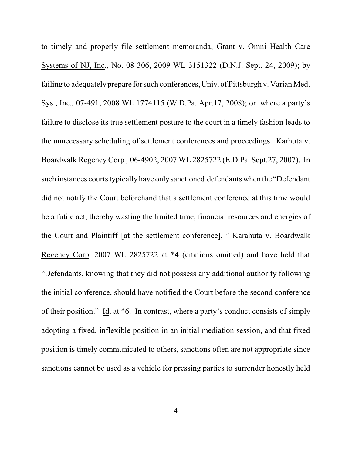to timely and properly file settlement memoranda; Grant v. Omni Health Care Systems of NJ, Inc., No. 08-306, 2009 WL 3151322 (D.N.J. Sept. 24, 2009); by failing to adequately prepare for such conferences, Univ. of Pittsburgh v. Varian Med. Sys., Inc*.,* 07-491, 2008 WL 1774115 (W.D.Pa. Apr.17, 2008); or where a party's failure to disclose its true settlement posture to the court in a timely fashion leads to the unnecessary scheduling of settlement conferences and proceedings. Karhuta v. Boardwalk Regency Corp*.,* 06-4902, 2007 WL 2825722 (E.D.Pa. Sept.27, 2007). In such instances courts typically have only sanctioned defendants when the "Defendant" did not notify the Court beforehand that a settlement conference at this time would be a futile act, thereby wasting the limited time, financial resources and energies of the Court and Plaintiff [at the settlement conference], " Karahuta v. Boardwalk Regency Corp. 2007 WL 2825722 at \*4 (citations omitted) and have held that "Defendants, knowing that they did not possess any additional authority following the initial conference, should have notified the Court before the second conference of their position." Id. at \*6. In contrast, where a party's conduct consists of simply adopting a fixed, inflexible position in an initial mediation session, and that fixed position is timely communicated to others, sanctions often are not appropriate since sanctions cannot be used as a vehicle for pressing parties to surrender honestly held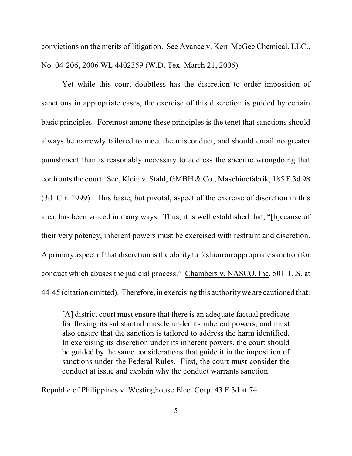convictions on the merits of litigation. See Avance v. Kerr-McGee Chemical, LLC., No. 04-206, 2006 WL 4402359 (W.D. Tex. March 21, 2006).

Yet while this court doubtless has the discretion to order imposition of sanctions in appropriate cases, the exercise of this discretion is guided by certain basic principles. Foremost among these principles is the tenet that sanctions should always be narrowly tailored to meet the misconduct, and should entail no greater punishment than is reasonably necessary to address the specific wrongdoing that confronts the court. See, Klein v. Stahl, GMBH & Co., Maschinefabrik, 185 F.3d 98 (3d. Cir. 1999). This basic, but pivotal, aspect of the exercise of discretion in this area, has been voiced in many ways. Thus, it is well established that, "[b]ecause of their very potency, inherent powers must be exercised with restraint and discretion. A primary aspect of that discretion isthe ability to fashion an appropriate sanction for conduct which abuses the judicial process." Chambers v. NASCO, Inc. 501 U.S. at 44-45 (citation omitted). Therefore, in exercising this authoritywe are cautioned that:

[A] district court must ensure that there is an adequate factual predicate for flexing its substantial muscle under its inherent powers, and must also ensure that the sanction is tailored to address the harm identified. In exercising its discretion under its inherent powers, the court should be guided by the same considerations that guide it in the imposition of sanctions under the Federal Rules. First, the court must consider the conduct at issue and explain why the conduct warrants sanction.

Republic of Philippines v. Westinghouse Elec. Corp. 43 F.3d at 74.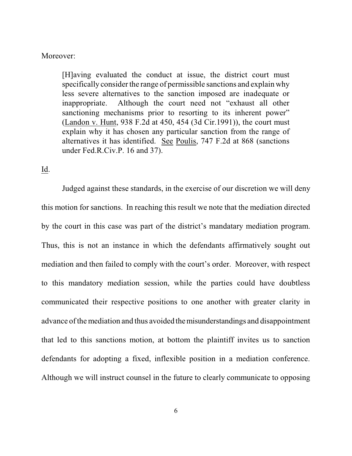#### Moreover:

[H]aving evaluated the conduct at issue, the district court must specifically consider the range of permissible sanctions and explain why less severe alternatives to the sanction imposed are inadequate or inappropriate. Although the court need not "exhaust all other sanctioning mechanisms prior to resorting to its inherent power" (Landon v. Hunt, 938 F.2d at 450, 454 (3d Cir.1991)), the court must explain why it has chosen any particular sanction from the range of alternatives it has identified. See Poulis, 747 F.2d at 868 (sanctions under Fed.R.Civ.P. 16 and 37).

## Id.

Judged against these standards, in the exercise of our discretion we will deny this motion for sanctions. In reaching this result we note that the mediation directed by the court in this case was part of the district's mandatary mediation program. Thus, this is not an instance in which the defendants affirmatively sought out mediation and then failed to comply with the court's order. Moreover, with respect to this mandatory mediation session, while the parties could have doubtless communicated their respective positions to one another with greater clarity in advance ofthe mediation and thus avoided themisunderstandings and disappointment that led to this sanctions motion, at bottom the plaintiff invites us to sanction defendants for adopting a fixed, inflexible position in a mediation conference. Although we will instruct counsel in the future to clearly communicate to opposing